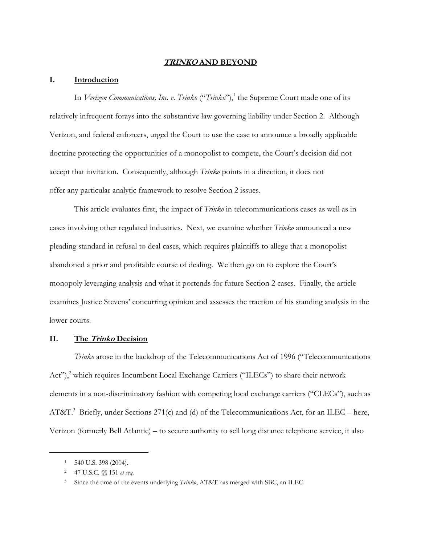## **TRINKO AND BEYOND**

#### **I. Introduction**

In *Verizon Communications, Inc. v. Trinko* ("*Trinko*"),<sup>1</sup> the Supreme Court made one of its relatively infrequent forays into the substantive law governing liability under Section 2. Although Verizon, and federal enforcers, urged the Court to use the case to announce a broadly applicable doctrine protecting the opportunities of a monopolist to compete, the Court's decision did not accept that invitation. Consequently, although *Trinko* points in a direction, it does not offer any particular analytic framework to resolve Section 2 issues.

This article evaluates first, the impact of *Trinko* in telecommunications cases as well as in cases involving other regulated industries. Next, we examine whether *Trinko* announced a new pleading standard in refusal to deal cases, which requires plaintiffs to allege that a monopolist abandoned a prior and profitable course of dealing. We then go on to explore the Court's monopoly leveraging analysis and what it portends for future Section 2 cases. Finally, the article examines Justice Stevens' concurring opinion and assesses the traction of his standing analysis in the lower courts.

## **II. The Trinko Decision**

*Trinko* arose in the backdrop of the Telecommunications Act of 1996 ("Telecommunications Act"),<sup>2</sup> which requires Incumbent Local Exchange Carriers ("ILECs") to share their network elements in a non-discriminatory fashion with competing local exchange carriers ("CLECs"), such as AT&T.<sup>3</sup> Briefly, under Sections 271(c) and (d) of the Telecommunications Act, for an ILEC – here, Verizon (formerly Bell Atlantic) – to secure authority to sell long distance telephone service, it also

<sup>1 540</sup> U.S. 398 (2004).

<sup>2 47</sup> U.S.C. §§ 151 *et seq.*

<sup>3</sup> Since the time of the events underlying *Trinko*, AT&T has merged with SBC, an ILEC.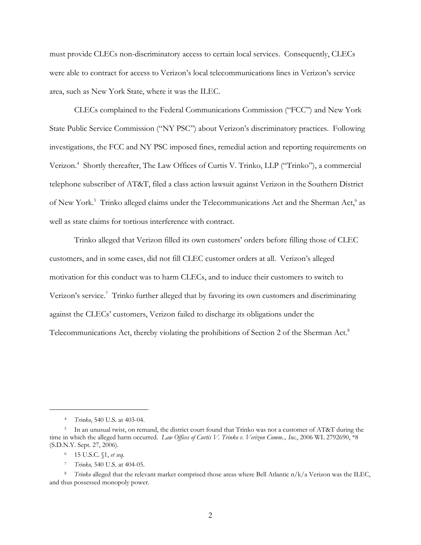must provide CLECs non-discriminatory access to certain local services. Consequently, CLECs were able to contract for access to Verizon's local telecommunications lines in Verizon's service area, such as New York State, where it was the ILEC.

CLECs complained to the Federal Communications Commission ("FCC") and New York State Public Service Commission ("NY PSC") about Verizon's discriminatory practices. Following investigations, the FCC and NY PSC imposed fines, remedial action and reporting requirements on Verizon.<sup>4</sup> Shortly thereafter, The Law Offices of Curtis V. Trinko, LLP ("Trinko"), a commercial telephone subscriber of AT&T, filed a class action lawsuit against Verizon in the Southern District of New York.<sup>5</sup> Trinko alleged claims under the Telecommunications Act and the Sherman Act,<sup>6</sup> as well as state claims for tortious interference with contract.

Trinko alleged that Verizon filled its own customers' orders before filling those of CLEC customers, and in some cases, did not fill CLEC customer orders at all. Verizon's alleged motivation for this conduct was to harm CLECs, and to induce their customers to switch to Verizon's service.<sup>7</sup> Trinko further alleged that by favoring its own customers and discriminating against the CLECs' customers, Verizon failed to discharge its obligations under the Telecommunications Act, thereby violating the prohibitions of Section 2 of the Sherman Act.<sup>8</sup>

-

7 *Trinko,* 540 U.S. at 404-05.

<sup>4</sup> *Trinko*, 540 U.S. at 403-04.

<sup>5</sup> In an unusual twist, on remand, the district court found that Trinko was not a customer of AT&T during the time in which the alleged harm occurred. *Law Offices of Curtis V. Trinko v. Verizon Comm.., Inc.*, 2006 WL 2792690, \*8 (S.D.N.Y. Sept. 27, 2006).

<sup>6 15</sup> U.S.C. §1, *et seq.*

<sup>8</sup> *Trinko* alleged that the relevant market comprised those areas where Bell Atlantic n/k/a Verizon was the ILEC, and thus possessed monopoly power.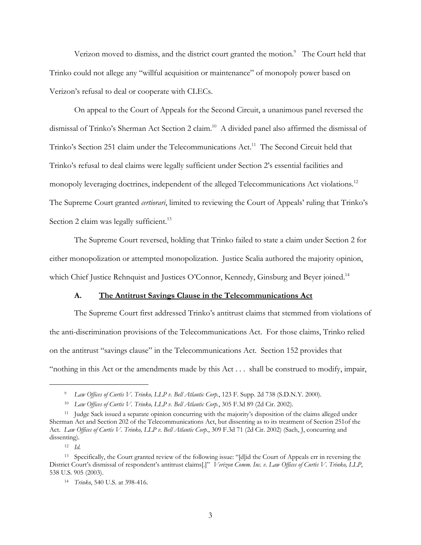Verizon moved to dismiss, and the district court granted the motion.<sup>9</sup> The Court held that Trinko could not allege any "willful acquisition or maintenance" of monopoly power based on Verizon's refusal to deal or cooperate with CLECs.

On appeal to the Court of Appeals for the Second Circuit, a unanimous panel reversed the dismissal of Trinko's Sherman Act Section 2 claim.<sup>10</sup> A divided panel also affirmed the dismissal of Trinko's Section 251 claim under the Telecommunications Act.<sup>11</sup> The Second Circuit held that Trinko's refusal to deal claims were legally sufficient under Section 2's essential facilities and monopoly leveraging doctrines, independent of the alleged Telecommunications Act violations.<sup>12</sup> The Supreme Court granted *certiorari*, limited to reviewing the Court of Appeals' ruling that Trinko's Section 2 claim was legally sufficient.<sup>13</sup>

The Supreme Court reversed, holding that Trinko failed to state a claim under Section 2 for either monopolization or attempted monopolization. Justice Scalia authored the majority opinion, which Chief Justice Rehnquist and Justices O'Connor, Kennedy, Ginsburg and Beyer joined.<sup>14</sup>

#### **A. The Antitrust Savings Clause in the Telecommunications Act**

The Supreme Court first addressed Trinko's antitrust claims that stemmed from violations of the anti-discrimination provisions of the Telecommunications Act. For those claims, Trinko relied on the antitrust "savings clause" in the Telecommunications Act. Section 152 provides that "nothing in this Act or the amendments made by this Act . . . shall be construed to modify, impair,

<sup>9</sup> *Law Offices of Curtis V. Trinko, LLP v. Bell Atlantic Corp.*, 123 F. Supp. 2d 738 (S.D.N.Y. 2000).

<sup>10</sup> *Law Offices of Curtis V. Trinko, LLP v. Bell Atlantic Corp.*, 305 F.3d 89 (2d Cir. 2002).

<sup>11</sup> Judge Sack issued a separate opinion concurring with the majority's disposition of the claims alleged under Sherman Act and Section 202 of the Telecommunications Act, but dissenting as to its treatment of Section 251of the Act. *Law Offices of Curtis V. Trinko, LLP v. Bell Atlantic Corp.*, 309 F.3d 71 (2d Cir. 2002) (Sach, J, concurring and dissenting).

<sup>12</sup> *Id.*

<sup>13</sup> Specifically, the Court granted review of the following issue: "[d]id the Court of Appeals err in reversing the District Court's dismissal of respondent's antitrust claims[.]" *Verizon Comm. Inc. v. Law Offices of Curtis V. Trinko, LLP*, 538 U.S. 905 (2003).

<sup>14</sup> *Trinko*, 540 U.S. at 398-416.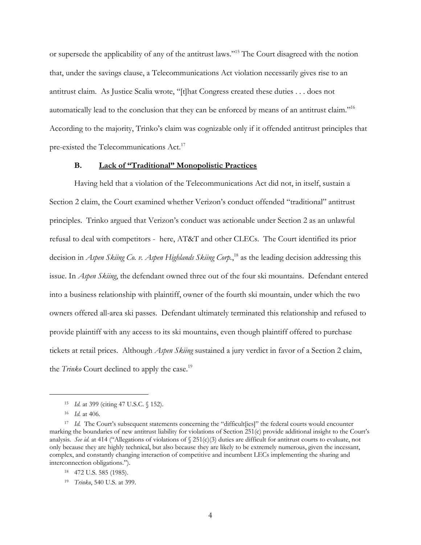or supersede the applicability of any of the antitrust laws."15 The Court disagreed with the notion that, under the savings clause, a Telecommunications Act violation necessarily gives rise to an antitrust claim. As Justice Scalia wrote, "[t]hat Congress created these duties . . . does not automatically lead to the conclusion that they can be enforced by means of an antitrust claim."16 According to the majority, Trinko's claim was cognizable only if it offended antitrust principles that pre-existed the Telecommunications Act.<sup>17</sup>

#### **B. Lack of "Traditional" Monopolistic Practices**

Having held that a violation of the Telecommunications Act did not, in itself, sustain a Section 2 claim, the Court examined whether Verizon's conduct offended "traditional" antitrust principles. Trinko argued that Verizon's conduct was actionable under Section 2 as an unlawful refusal to deal with competitors - here, AT&T and other CLECs. The Court identified its prior decision in *Aspen Skiing Co. v. Aspen Highlands Skiing Corp.*, 18 as the leading decision addressing this issue. In *Aspen Skiing*, the defendant owned three out of the four ski mountains. Defendant entered into a business relationship with plaintiff, owner of the fourth ski mountain, under which the two owners offered all-area ski passes. Defendant ultimately terminated this relationship and refused to provide plaintiff with any access to its ski mountains, even though plaintiff offered to purchase tickets at retail prices. Although *Aspen Skiing* sustained a jury verdict in favor of a Section 2 claim, the *Trinko* Court declined to apply the case.<sup>19</sup>

<sup>15</sup> *Id.* at 399 (citing 47 U.S.C. § 152).

<sup>16</sup> *Id.* at 406.

<sup>&</sup>lt;sup>17</sup> *Id.* The Court's subsequent statements concerning the "difficult[ies]" the federal courts would encounter marking the boundaries of new antitrust liability for violations of Section 251(c) provide additional insight to the Court's analysis. *See id.* at 414 ("Allegations of violations of § 251(c)(3) duties are difficult for antitrust courts to evaluate, not only because they are highly technical, but also because they are likely to be extremely numerous, given the incessant, complex, and constantly changing interaction of competitive and incumbent LECs implementing the sharing and interconnection obligations.").

<sup>18 472</sup> U.S. 585 (1985).

<sup>19</sup> *Trinko*, 540 U.S. at 399.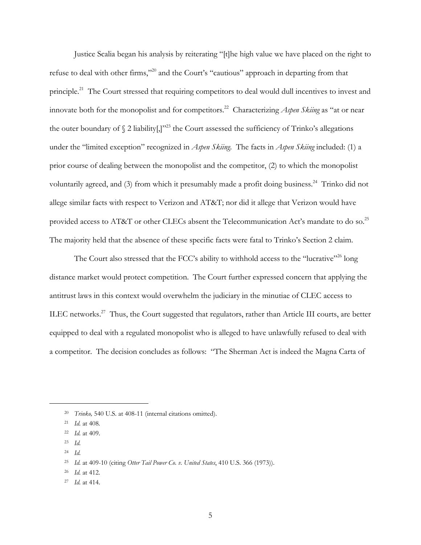Justice Scalia began his analysis by reiterating "[t]he high value we have placed on the right to refuse to deal with other firms,"20 and the Court's "cautious" approach in departing from that principle.<sup>21</sup> The Court stressed that requiring competitors to deal would dull incentives to invest and innovate both for the monopolist and for competitors.<sup>22</sup> Characterizing *Aspen Skiing* as "at or near the outer boundary of  $\S$  2 liability[,]"<sup>23</sup> the Court assessed the sufficiency of Trinko's allegations under the "limited exception" recognized in *Aspen Skiing*. The facts in *Aspen Skiing* included: (1) a prior course of dealing between the monopolist and the competitor, (2) to which the monopolist voluntarily agreed, and (3) from which it presumably made a profit doing business.<sup>24</sup> Trinko did not allege similar facts with respect to Verizon and AT&T; nor did it allege that Verizon would have provided access to AT&T or other CLECs absent the Telecommunication Act's mandate to do so.<sup>25</sup> The majority held that the absence of these specific facts were fatal to Trinko's Section 2 claim.

The Court also stressed that the FCC's ability to withhold access to the "lucrative"<sup>26</sup> long distance market would protect competition. The Court further expressed concern that applying the antitrust laws in this context would overwhelm the judiciary in the minutiae of CLEC access to ILEC networks.<sup>27</sup> Thus, the Court suggested that regulators, rather than Article III courts, are better equipped to deal with a regulated monopolist who is alleged to have unlawfully refused to deal with a competitor. The decision concludes as follows: "The Sherman Act is indeed the Magna Carta of

23 *Id.* 

 $\overline{a}$ 

26 *Id.* at 412.

<sup>20</sup> *Trinko,* 540 U.S. at 408-11 (internal citations omitted).

<sup>21</sup> *Id.* at 408*.*

<sup>22</sup> *Id.* at 409.

<sup>24</sup> *Id.*

<sup>25</sup> *Id.* at 409-10 (citing *Otter Tail Power Co. v. United States*, 410 U.S. 366 (1973)).

<sup>27</sup> *Id.* at 414.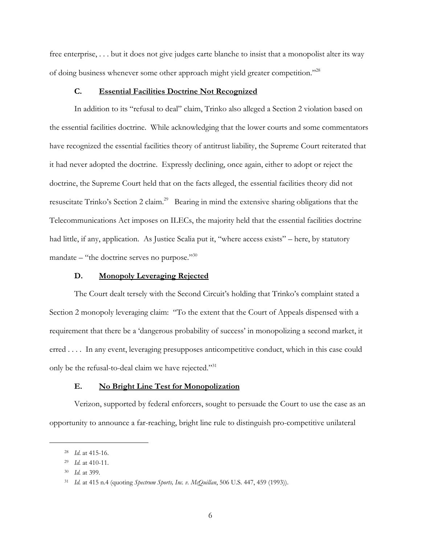free enterprise, . . . but it does not give judges carte blanche to insist that a monopolist alter its way of doing business whenever some other approach might yield greater competition."28

# **C. Essential Facilities Doctrine Not Recognized**

In addition to its "refusal to deal" claim, Trinko also alleged a Section 2 violation based on the essential facilities doctrine. While acknowledging that the lower courts and some commentators have recognized the essential facilities theory of antitrust liability, the Supreme Court reiterated that it had never adopted the doctrine. Expressly declining, once again, either to adopt or reject the doctrine, the Supreme Court held that on the facts alleged, the essential facilities theory did not resuscitate Trinko's Section 2 claim.29 Bearing in mind the extensive sharing obligations that the Telecommunications Act imposes on ILECs, the majority held that the essential facilities doctrine had little, if any, application. As Justice Scalia put it, "where access exists" – here, by statutory mandate – "the doctrine serves no purpose."<sup>30</sup>

## **D. Monopoly Leveraging Rejected**

The Court dealt tersely with the Second Circuit's holding that Trinko's complaint stated a Section 2 monopoly leveraging claim: "To the extent that the Court of Appeals dispensed with a requirement that there be a 'dangerous probability of success' in monopolizing a second market, it erred . . . . In any event, leveraging presupposes anticompetitive conduct, which in this case could only be the refusal-to-deal claim we have rejected."<sup>31</sup>

#### **E. No Bright Line Test for Monopolization**

Verizon, supported by federal enforcers, sought to persuade the Court to use the case as an opportunity to announce a far-reaching, bright line rule to distinguish pro-competitive unilateral

<sup>28</sup> *Id*. at 415-16.

<sup>29</sup> *Id.* at 410-11.

<sup>30</sup> *Id.* at 399.

<sup>31</sup> *Id.* at 415 n.4 (quoting *Spectrum Sports, Inc. v. McQuillan*, 506 U.S. 447, 459 (1993)).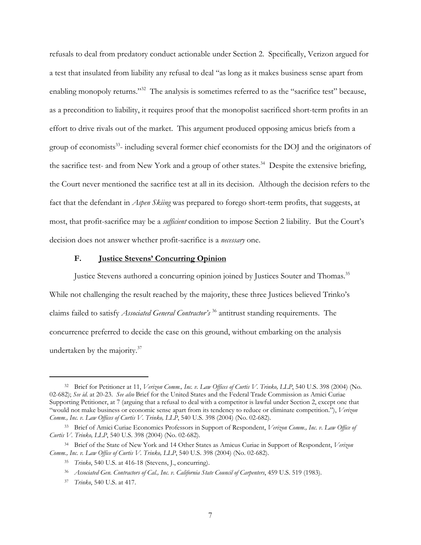refusals to deal from predatory conduct actionable under Section 2. Specifically, Verizon argued for a test that insulated from liability any refusal to deal "as long as it makes business sense apart from enabling monopoly returns."<sup>32</sup> The analysis is sometimes referred to as the "sacrifice test" because, as a precondition to liability, it requires proof that the monopolist sacrificed short-term profits in an effort to drive rivals out of the market. This argument produced opposing amicus briefs from a group of economists<sup>33</sup>- including several former chief economists for the DOJ and the originators of the sacrifice test- and from New York and a group of other states.<sup>34</sup> Despite the extensive briefing, the Court never mentioned the sacrifice test at all in its decision. Although the decision refers to the fact that the defendant in *Aspen Skiing* was prepared to forego short-term profits, that suggests, at most, that profit-sacrifice may be a *sufficient* condition to impose Section 2 liability. But the Court's decision does not answer whether profit-sacrifice is a *necessary* one.

#### **F. Justice Stevens' Concurring Opinion**

Justice Stevens authored a concurring opinion joined by Justices Souter and Thomas.<sup>35</sup> While not challenging the result reached by the majority, these three Justices believed Trinko's claims failed to satisfy *Associated General Contractor's* 36 antitrust standing requirements. The concurrence preferred to decide the case on this ground, without embarking on the analysis undertaken by the majority. $37$ 

<sup>32</sup> Brief for Petitioner at 11, *Verizon Comm., Inc. v. Law Offices of Curtis V. Trinko, LLP*, 540 U.S. 398 (2004) (No. 02-682); *See id*. at 20-23. *See also* Brief for the United States and the Federal Trade Commission as Amici Curiae Supporting Petitioner, at 7 (arguing that a refusal to deal with a competitor is lawful under Section 2, except one that "would not make business or economic sense apart from its tendency to reduce or eliminate competition."), *Verizon Comm., Inc. v. Law Offices of Curtis V. Trinko, LLP*, 540 U.S. 398 (2004) (No. 02-682).

<sup>33</sup> Brief of Amici Curiae Economics Professors in Support of Respondent, *Verizon Comm., Inc. v. Law Office of Curtis V. Trinko, LLP*, 540 U.S. 398 (2004) (No. 02-682).

<sup>34</sup> Brief of the State of New York and 14 Other States as Amicus Curiae in Support of Respondent, *Verizon Comm., Inc. v. Law Office of Curtis V. Trinko, LLP*, 540 U.S. 398 (2004) (No. 02-682).

<sup>35</sup> *Trinko*, 540 U.S. at 416-18 (Stevens, J., concurring).

<sup>36</sup> *Associated Gen. Contractors of Cal., Inc. v. California State Council of Carpenters*, 459 U.S. 519 (1983).

<sup>37</sup> *Trinko*, 540 U.S. at 417.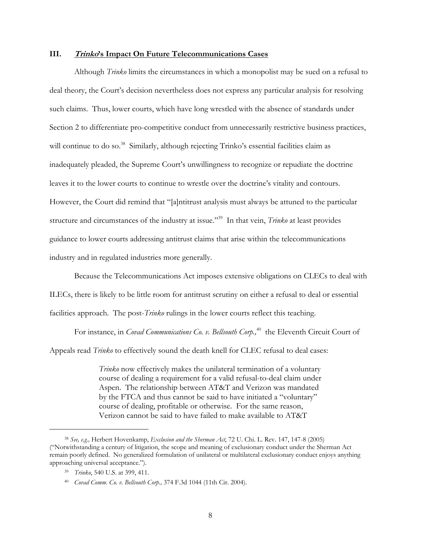#### **III. Trinko's Impact On Future Telecommunications Cases**

Although *Trinko* limits the circumstances in which a monopolist may be sued on a refusal to deal theory, the Court's decision nevertheless does not express any particular analysis for resolving such claims. Thus, lower courts, which have long wrestled with the absence of standards under Section 2 to differentiate pro-competitive conduct from unnecessarily restrictive business practices, will continue to do so.<sup>38</sup> Similarly, although rejecting Trinko's essential facilities claim as inadequately pleaded, the Supreme Court's unwillingness to recognize or repudiate the doctrine leaves it to the lower courts to continue to wrestle over the doctrine's vitality and contours. However, the Court did remind that "[a]ntitrust analysis must always be attuned to the particular structure and circumstances of the industry at issue."39 In that vein, *Trinko* at least provides guidance to lower courts addressing antitrust claims that arise within the telecommunications industry and in regulated industries more generally.

Because the Telecommunications Act imposes extensive obligations on CLECs to deal with ILECs, there is likely to be little room for antitrust scrutiny on either a refusal to deal or essential facilities approach. The post-*Trinko* rulings in the lower courts reflect this teaching.

For instance, in *Covad Communications Co. v. Bellsouth Corp.*,<sup>40</sup> the Eleventh Circuit Court of

Appeals read *Trinko* to effectively sound the death knell for CLEC refusal to deal cases:

*Trinko* now effectively makes the unilateral termination of a voluntary course of dealing a requirement for a valid refusal-to-deal claim under Aspen. The relationship between AT&T and Verizon was mandated by the FTCA and thus cannot be said to have initiated a "voluntary" course of dealing, profitable or otherwise. For the same reason, Verizon cannot be said to have failed to make available to AT&T

<sup>38</sup> *See, e.g.,* Herbert Hovenkamp, *Exclusion and the Sherman Act*, 72 U. Chi. L. Rev. 147, 147-8 (2005) ("Notwithstanding a century of litigation, the scope and meaning of exclusionary conduct under the Sherman Act remain poorly defined. No generalized formulation of unilateral or multilateral exclusionary conduct enjoys anything approaching universal acceptance.").

<sup>39</sup> *Trinko*, 540 U.S. at 399, 411.

<sup>40</sup> *Covad Comm. Co. v. Bellsouth Corp.,* 374 F.3d 1044 (11th Cir. 2004).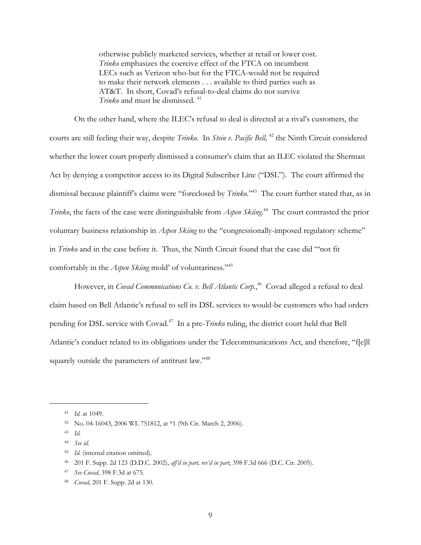otherwise publicly marketed services, whether at retail or lower cost. *Trinko* emphasizes the coercive effect of the FTCA on incumbent LECs such as Verizon who-but for the FTCA-would not be required to make their network elements . . . available to third parties such as AT&T. In short, Covad's refusal-to-deal claims do not survive *Trinko* and must be dismissed.<sup>41</sup>

On the other hand, where the ILEC's refusal to deal is directed at a rival's customers, the courts are still feeling their way, despite *Trinko*. In *Stein v. Pacific Bell,* 42 the Ninth Circuit considered whether the lower court properly dismissed a consumer's claim that an ILEC violated the Sherman Act by denying a competitor access to its Digital Subscriber Line ("DSL"). The court affirmed the dismissal because plaintiff's claims were "foreclosed by *Trinko*."43 The court further stated that, as in *Trinko*, the facts of the case were distinguishable from *Aspen Skiing*. 44 The court contrasted the prior voluntary business relationship in *Aspen Skiing* to the "congressionally-imposed regulatory scheme" in *Trinko* and in the case before it. Thus, the Ninth Circuit found that the case did "'not fit comfortably in the *Aspen Skiing* mold' of voluntariness."45

However, in *Covad Communications Co. v. Bell Atlantic Corp.*,<sup>46</sup> Covad alleged a refusal to deal claim based on Bell Atlantic's refusal to sell its DSL services to would-be customers who had orders pending for DSL service with Covad.47 In a pre-*Trinko* ruling, the district court held that Bell Atlantic's conduct related to its obligations under the Telecommunications Act, and therefore, "f[e]ll squarely outside the parameters of antitrust law."<sup>48</sup>

<sup>41</sup> *Id.* at 1049.

<sup>42</sup> No. 04-16043, 2006 WL 751812, at \*1 (9th Cir. March 2, 2006).

<sup>43</sup> *Id.*

<sup>44</sup> *See id.*

<sup>45</sup> *Id.* (internal citation omitted).

<sup>46 201</sup> F. Supp. 2d 123 (D.D.C. 2002), *aff'd in part, rev'd in part*, 398 F.3d 666 (D.C. Cir. 2005).

<sup>47</sup> *See Covad,* 398 F.3d at 675.

<sup>48</sup> *Covad,* 201 F. Supp. 2d at 130*.*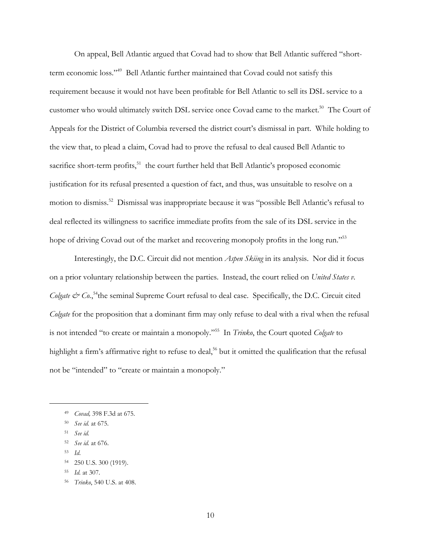On appeal, Bell Atlantic argued that Covad had to show that Bell Atlantic suffered "shortterm economic loss."49 Bell Atlantic further maintained that Covad could not satisfy this requirement because it would not have been profitable for Bell Atlantic to sell its DSL service to a customer who would ultimately switch DSL service once Covad came to the market.<sup>50</sup> The Court of Appeals for the District of Columbia reversed the district court's dismissal in part. While holding to the view that, to plead a claim, Covad had to prove the refusal to deal caused Bell Atlantic to sacrifice short-term profits, $51$  the court further held that Bell Atlantic's proposed economic justification for its refusal presented a question of fact, and thus, was unsuitable to resolve on a motion to dismiss.52 Dismissal was inappropriate because it was "possible Bell Atlantic's refusal to deal reflected its willingness to sacrifice immediate profits from the sale of its DSL service in the hope of driving Covad out of the market and recovering monopoly profits in the long run."<sup>53</sup>

Interestingly, the D.C. Circuit did not mention *Aspen Skiing* in its analysis. Nor did it focus on a prior voluntary relationship between the parties. Instead, the court relied on *United States v.*  Colgate & Co.,<sup>54</sup>the seminal Supreme Court refusal to deal case. Specifically, the D.C. Circuit cited *Colgate* for the proposition that a dominant firm may only refuse to deal with a rival when the refusal is not intended "to create or maintain a monopoly."55 In *Trinko*, the Court quoted *Colgate* to highlight a firm's affirmative right to refuse to deal,<sup>56</sup> but it omitted the qualification that the refusal not be "intended" to "create or maintain a monopoly."

<sup>49</sup> *Covad,* 398 F.3d at 675.

<sup>50</sup> *See id.* at 675.

<sup>51</sup> *See id.*

<sup>52</sup> *See id.* at 676.

<sup>53</sup> *Id*.

<sup>54 250</sup> U.S. 300 (1919).

<sup>55</sup> *Id.* at 307.

<sup>56</sup> *Trinko*, 540 U.S. at 408.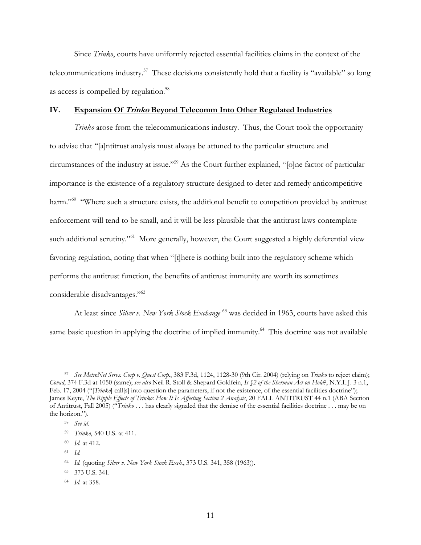Since *Trinko*, courts have uniformly rejected essential facilities claims in the context of the telecommunications industry.<sup>57</sup> These decisions consistently hold that a facility is "available" so long as access is compelled by regulation.<sup>58</sup>

# **IV. Expansion Of Trinko Beyond Telecomm Into Other Regulated Industries**

*Trinko* arose from the telecommunications industry. Thus, the Court took the opportunity to advise that "[a]ntitrust analysis must always be attuned to the particular structure and circumstances of the industry at issue."59 As the Court further explained, "[o]ne factor of particular importance is the existence of a regulatory structure designed to deter and remedy anticompetitive harm."<sup>60</sup> "Where such a structure exists, the additional benefit to competition provided by antitrust enforcement will tend to be small, and it will be less plausible that the antitrust laws contemplate such additional scrutiny."<sup>61</sup> More generally, however, the Court suggested a highly deferential view favoring regulation, noting that when "[t]here is nothing built into the regulatory scheme which performs the antitrust function, the benefits of antitrust immunity are worth its sometimes considerable disadvantages."62

At least since *Silver v. New York Stock Exchange* <sup>63</sup> was decided in 1963, courts have asked this same basic question in applying the doctrine of implied immunity.<sup>64</sup> This doctrine was not available

<sup>57</sup> *See MetroNet Servs. Corp v. Quest Corp.*, 383 F.3d, 1124, 1128-30 (9th Cir. 2004) (relying on *Trinko* to reject claim); *Covad*, 374 F.3d at 1050 (same); *see also* Neil R. Stoll & Shepard Goldfein, *Is §2 of the Sherman Act on Hold*?, N.Y.L.J. 3 n.1, Feb. 17, 2004 ("[*Trinko*] call[s] into question the parameters, if not the existence, of the essential facilities doctrine"); James Keyte, *The Ripple Effects of Trinko: How It Is Affecting Section 2 Analysis*, 20 FALL ANTITRUST 44 n.1 (ABA Section of Antitrust, Fall 2005) ("*Trinko* . . . has clearly signaled that the demise of the essential facilities doctrine . . . may be on the horizon.").

<sup>58</sup> *See id.* 

<sup>59</sup> *Trinko*, 540 U.S. at 411.

<sup>60</sup> *Id.* at 412.

<sup>61</sup> *Id.*

<sup>62</sup> *Id.* (quoting *Silver v. New York Stock Exch.*, 373 U.S. 341, 358 (1963)).

<sup>63 373</sup> U.S. 341.

<sup>64</sup> *Id.* at 358.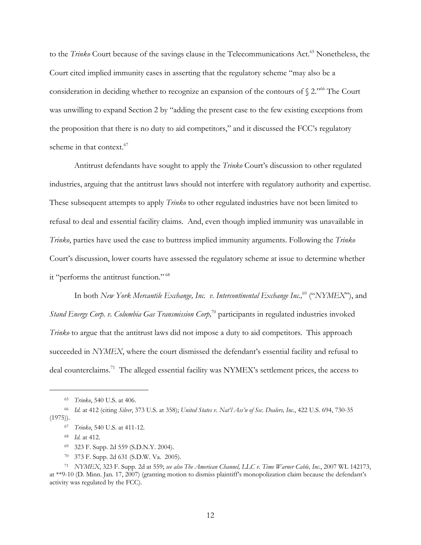to the *Trinko* Court because of the savings clause in the Telecommunications Act.<sup>65</sup> Nonetheless, the Court cited implied immunity cases in asserting that the regulatory scheme "may also be a consideration in deciding whether to recognize an expansion of the contours of  $\S$  2.<sup>766</sup> The Court was unwilling to expand Section 2 by "adding the present case to the few existing exceptions from the proposition that there is no duty to aid competitors," and it discussed the FCC's regulatory scheme in that context.<sup>67</sup>

Antitrust defendants have sought to apply the *Trinko* Court's discussion to other regulated industries, arguing that the antitrust laws should not interfere with regulatory authority and expertise. These subsequent attempts to apply *Trinko* to other regulated industries have not been limited to refusal to deal and essential facility claims. And, even though implied immunity was unavailable in *Trinko*, parties have used the case to buttress implied immunity arguments. Following the *Trinko* Court's discussion, lower courts have assessed the regulatory scheme at issue to determine whether it "performs the antitrust function." 68

In both *New York Mercantile Exchange, Inc. v. Intercontinental Exchange Inc.*<sup>69</sup> ("*NYMEX*"), and *Stand Energy Corp. v. Columbia Gas Transmission Corp,*<sup>70</sup> participants in regulated industries invoked *Trinko* to argue that the antitrust laws did not impose a duty to aid competitors. This approach succeeded in *NYMEX*, where the court dismissed the defendant's essential facility and refusal to deal counterclaims.<sup>71</sup> The alleged essential facility was NYMEX's settlement prices, the access to

<sup>65</sup> *Trinko*, 540 U.S. at 406.

<sup>66</sup> *Id.* at 412 (citing *Silver*, 373 U.S. at 358); *United States v. Nat'l Ass'n of Sec. Dealers, Inc.*, 422 U.S. 694, 730-35  $(1975)$ .

<sup>67</sup> *Trinko*, 540 U.S. at 411-12.

<sup>68</sup> *Id.* at 412.

<sup>69 323</sup> F. Supp. 2d 559 (S.D.N.Y. 2004).

<sup>70 373</sup> F. Supp. 2d 631 (S.D.W. Va. 2005).

<sup>71</sup> *NYMEX*, 323 F. Supp. 2d at 559; *see also The American Channel, LLC v. Time Warner Cable, Inc.*, 2007 WL 142173, at \*\*9-10 (D. Minn. Jan. 17, 2007) (granting motion to dismiss plaintiff's monopolization claim because the defendant's activity was regulated by the FCC).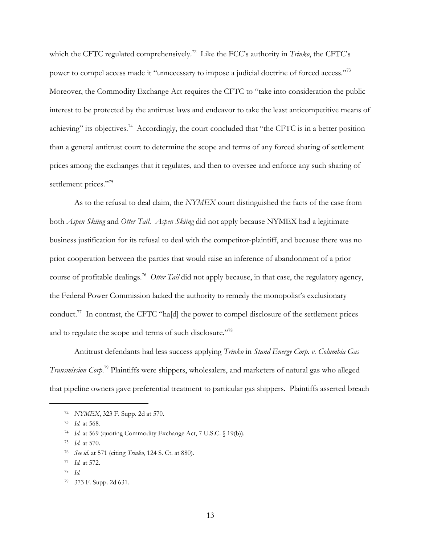which the CFTC regulated comprehensively.72 Like the FCC's authority in *Trinko*, the CFTC's power to compel access made it "unnecessary to impose a judicial doctrine of forced access."73 Moreover, the Commodity Exchange Act requires the CFTC to "take into consideration the public interest to be protected by the antitrust laws and endeavor to take the least anticompetitive means of achieving" its objectives.<sup>74</sup> Accordingly, the court concluded that "the CFTC is in a better position than a general antitrust court to determine the scope and terms of any forced sharing of settlement prices among the exchanges that it regulates, and then to oversee and enforce any such sharing of settlement prices."<sup>75</sup>

As to the refusal to deal claim, the *NYMEX* court distinguished the facts of the case from both *Aspen Skiing* and *Otter Tail*. *Aspen Skiing* did not apply because NYMEX had a legitimate business justification for its refusal to deal with the competitor-plaintiff, and because there was no prior cooperation between the parties that would raise an inference of abandonment of a prior course of profitable dealings.<sup>76</sup> *Otter Tail* did not apply because, in that case, the regulatory agency, the Federal Power Commission lacked the authority to remedy the monopolist's exclusionary conduct.<sup>77</sup> In contrast, the CFTC "ha[d] the power to compel disclosure of the settlement prices and to regulate the scope and terms of such disclosure."<sup>78</sup>

Antitrust defendants had less success applying *Trinko* in *Stand Energy Corp. v. Columbia Gas Transmission Corp*. 79 Plaintiffs were shippers, wholesalers, and marketers of natural gas who alleged that pipeline owners gave preferential treatment to particular gas shippers. Plaintiffs asserted breach

<sup>72</sup> *NYMEX*, 323 F. Supp. 2d at 570.

<sup>73</sup> *Id.* at 568.

<sup>74</sup> *Id.* at 569 (quoting Commodity Exchange Act, 7 U.S.C. § 19(b)).

<sup>75</sup> *Id.* at 570.

<sup>76</sup> *See id.* at 571 (citing *Trinko*, 124 S. Ct. at 880).

<sup>77</sup> *Id.* at 572.

<sup>78</sup> *Id.*

<sup>79 373</sup> F. Supp. 2d 631.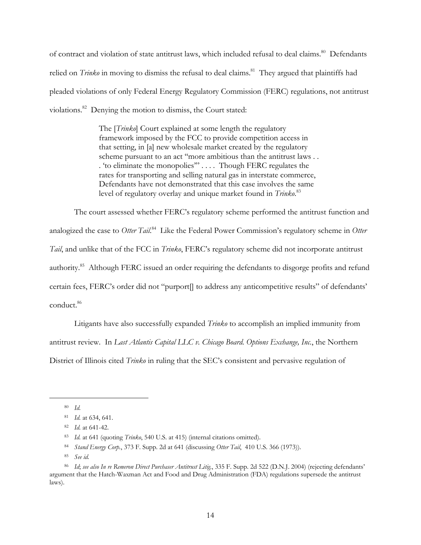of contract and violation of state antitrust laws, which included refusal to deal claims.<sup>80</sup> Defendants relied on *Trinko* in moving to dismiss the refusal to deal claims.<sup>81</sup> They argued that plaintiffs had pleaded violations of only Federal Energy Regulatory Commission (FERC) regulations, not antitrust violations.<sup>82</sup> Denying the motion to dismiss, the Court stated:

> The [*Trinko*] Court explained at some length the regulatory framework imposed by the FCC to provide competition access in that setting, in [a] new wholesale market created by the regulatory scheme pursuant to an act ''more ambitious than the antitrust laws . . . 'to eliminate the monopolies'" . . . . Though FERC regulates the rates for transporting and selling natural gas in interstate commerce, Defendants have not demonstrated that this case involves the same level of regulatory overlay and unique market found in *Trinko*. 83

The court assessed whether FERC's regulatory scheme performed the antitrust function and analogized the case to *Otter Tail*. 84 Like the Federal Power Commission's regulatory scheme in *Otter Tail*, and unlike that of the FCC in *Trinko*, FERC's regulatory scheme did not incorporate antitrust authority.<sup>85</sup> Although FERC issued an order requiring the defendants to disgorge profits and refund certain fees, FERC's order did not "purport[] to address any anticompetitive results" of defendants' conduct.86

Litigants have also successfully expanded *Trinko* to accomplish an implied immunity from antitrust review. In *Last Atlantis Capital LLC v. Chicago Board. Options Exchange, Inc.*, the Northern District of Illinois cited *Trinko* in ruling that the SEC's consistent and pervasive regulation of

<sup>80</sup> *Id.*

<sup>81</sup> *Id.* at 634, 641.

<sup>82</sup> *Id.* at 641-42.

<sup>83</sup> *Id.* at 641 (quoting *Trinko*, 540 U.S. at 415) (internal citations omitted).

<sup>84</sup> *Stand Energy Corp.*, 373 F. Supp. 2d at 641 (discussing *Otter Tail*, 410 U.S. 366 (1973)).

<sup>85</sup> *See id.*

<sup>86</sup> *Id*; *see also In re Remeron Direct Purchaser Antitrust Litig.*, 335 F. Supp. 2d 522 (D.N.J. 2004) (rejecting defendants' argument that the Hatch-Waxman Act and Food and Drug Administration (FDA) regulations supersede the antitrust laws).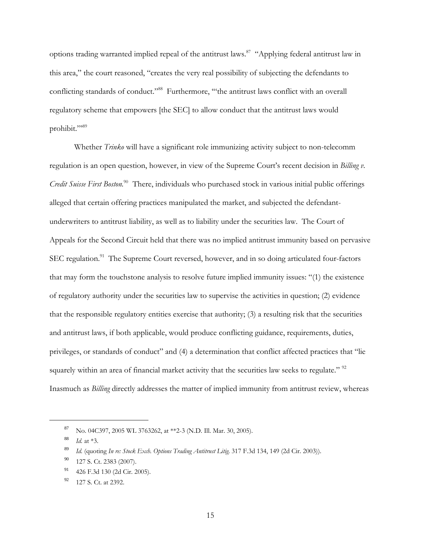options trading warranted implied repeal of the antitrust laws.87 "Applying federal antitrust law in this area," the court reasoned, "creates the very real possibility of subjecting the defendants to conflicting standards of conduct."<sup>88</sup> Furthermore, "the antitrust laws conflict with an overall regulatory scheme that empowers [the SEC] to allow conduct that the antitrust laws would prohibit."<sup>89</sup>

Whether *Trinko* will have a significant role immunizing activity subject to non-telecomm regulation is an open question, however, in view of the Supreme Court's recent decision in *Billing v. Credit Suisse First Boston.*90 There, individuals who purchased stock in various initial public offerings alleged that certain offering practices manipulated the market, and subjected the defendantunderwriters to antitrust liability, as well as to liability under the securities law. The Court of Appeals for the Second Circuit held that there was no implied antitrust immunity based on pervasive SEC regulation.<sup>91</sup> The Supreme Court reversed, however, and in so doing articulated four-factors that may form the touchstone analysis to resolve future implied immunity issues: "(1) the existence of regulatory authority under the securities law to supervise the activities in question; (2) evidence that the responsible regulatory entities exercise that authority; (3) a resulting risk that the securities and antitrust laws, if both applicable, would produce conflicting guidance, requirements, duties, privileges, or standards of conduct" and (4) a determination that conflict affected practices that "lie squarely within an area of financial market activity that the securities law seeks to regulate." <sup>92</sup> Inasmuch as *Billing* directly addresses the matter of implied immunity from antitrust review, whereas

<sup>87</sup> No. 04C397, 2005 WL 3763262, at \*\*2-3 (N.D. Ill. Mar. 30, 2005).

<sup>88</sup> *Id.* at \*3.

<sup>89</sup> *Id.* (quoting *In re: Stock Exch. Options Trading Antitrust Litig*. 317 F.3d 134, 149 (2d Cir. 2003)).

<sup>&</sup>lt;sup>90</sup> 127 S. Ct. 2383 (2007).

<sup>91</sup> 426 F.3d 130 (2d Cir. 2005).

<sup>92</sup> 127 S. Ct. at 2392.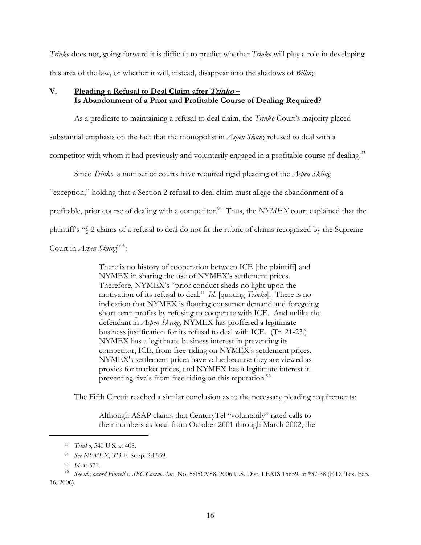*Trinko* does not, going forward it is difficult to predict whether *Trinko* will play a role in developing this area of the law, or whether it will, instead, disappear into the shadows of *Billing*.

# **V. Pleading a Refusal to Deal Claim after Trinko – Is Abandonment of a Prior and Profitable Course of Dealing Required?**

As a predicate to maintaining a refusal to deal claim, the *Trinko* Court's majority placed substantial emphasis on the fact that the monopolist in *Aspen Skiing* refused to deal with a competitor with whom it had previously and voluntarily engaged in a profitable course of dealing.<sup>93</sup>

Since *Trinko,* a number of courts have required rigid pleading of the *Aspen Skiing*

"exception," holding that a Section 2 refusal to deal claim must allege the abandonment of a

profitable, prior course of dealing with a competitor.<sup>94</sup> Thus, the *NYMEX* court explained that the

plaintiff's "§ 2 claims of a refusal to deal do not fit the rubric of claims recognized by the Supreme

Court in *Aspen Skiing*"<sup>95</sup>:

There is no history of cooperation between ICE [the plaintiff] and NYMEX in sharing the use of NYMEX's settlement prices. Therefore, NYMEX's ''prior conduct sheds no light upon the motivation of its refusal to deal.'' *Id.* [quoting *Trinko*]. There is no indication that NYMEX is flouting consumer demand and foregoing short-term profits by refusing to cooperate with ICE. And unlike the defendant in *Aspen Skiing*, NYMEX has proffered a legitimate business justification for its refusal to deal with ICE. (Tr. 21-23.) NYMEX has a legitimate business interest in preventing its competitor, ICE, from free-riding on NYMEX's settlement prices. NYMEX's settlement prices have value because they are viewed as proxies for market prices, and NYMEX has a legitimate interest in preventing rivals from free-riding on this reputation.<sup>96</sup>

The Fifth Circuit reached a similar conclusion as to the necessary pleading requirements:

Although ASAP claims that CenturyTel ''voluntarily'' rated calls to their numbers as local from October 2001 through March 2002, the

<sup>93</sup> *Trinko*, 540 U.S. at 408.

<sup>94</sup> *See NYMEX*, 323 F. Supp. 2d 559.

<sup>95</sup> *Id.* at 571.

<sup>96</sup> *See id*.; *accord Horrell v. SBC Comm., Inc.*, No. 5:05CV88, 2006 U.S. Dist. LEXIS 15659, at \*37-38 (E.D. Tex. Feb. 16, 2006).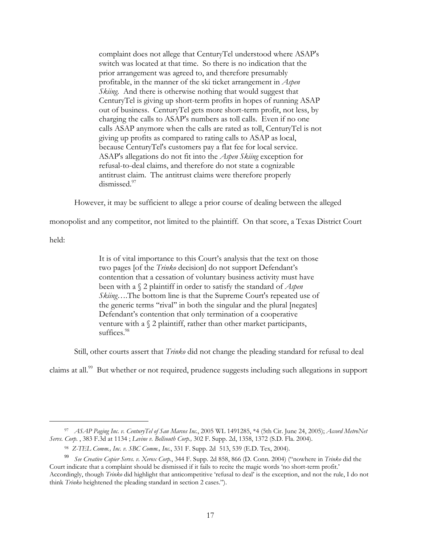complaint does not allege that CenturyTel understood where ASAP's switch was located at that time. So there is no indication that the prior arrangement was agreed to, and therefore presumably profitable, in the manner of the ski ticket arrangement in *Aspen Skiing*. And there is otherwise nothing that would suggest that CenturyTel is giving up short-term profits in hopes of running ASAP out of business. CenturyTel gets more short-term profit, not less, by charging the calls to ASAP's numbers as toll calls. Even if no one calls ASAP anymore when the calls are rated as toll, CenturyTel is not giving up profits as compared to rating calls to ASAP as local, because CenturyTel's customers pay a flat fee for local service. ASAP's allegations do not fit into the *Aspen Skiing* exception for refusal-to-deal claims, and therefore do not state a cognizable antitrust claim. The antitrust claims were therefore properly dismissed.<sup>97</sup>

However, it may be sufficient to allege a prior course of dealing between the alleged

monopolist and any competitor, not limited to the plaintiff. On that score, a Texas District Court

held:

-

It is of vital importance to this Court's analysis that the text on those two pages [of the *Trinko* decision] do not support Defendant's contention that a cessation of voluntary business activity must have been with a § 2 plaintiff in order to satisfy the standard of *Aspen Skiing*….The bottom line is that the Supreme Court's repeated use of the generic terms "rival" in both the singular and the plural [negates] Defendant's contention that only termination of a cooperative venture with a  $\S$  2 plaintiff, rather than other market participants, suffices.<sup>98</sup>

Still, other courts assert that *Trinko* did not change the pleading standard for refusal to deal

claims at all.<sup>99</sup> But whether or not required, prudence suggests including such allegations in support

<sup>97</sup> *ASAP Paging Inc. v. CenturyTel of San Marcos Inc.*, 2005 WL 1491285, \*4 (5th Cir. June 24, 2005); *Accord MetroNet Servs. Corp.* , 383 F.3d at 1134 ; *Levine v. Bellsouth Corp.,* 302 F. Supp. 2d, 1358, 1372 (S.D. Fla. 2004).

<sup>98</sup> *Z-TEL Comm., Inc. v. SBC Comm., Inc.*, 331 F. Supp. 2d 513, 539 (E.D. Tex, 2004).

<sup>99</sup> *See Creative Copier Servs. v. Xerox Corp.*, 344 F. Supp. 2d 858, 866 (D. Conn. 2004) ("nowhere in *Trinko* did the Court indicate that a complaint should be dismissed if it fails to recite the magic words 'no short-term profit.' Accordingly, though *Trinko* did highlight that anticompetitive 'refusal to deal' is the exception, and not the rule, I do not think *Trinko* heightened the pleading standard in section 2 cases.").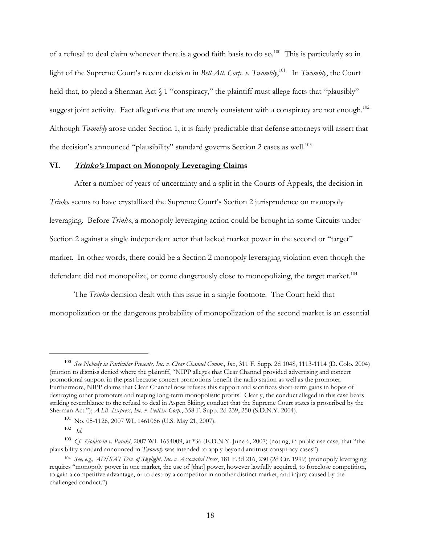of a refusal to deal claim whenever there is a good faith basis to do so.<sup>100</sup> This is particularly so in light of the Supreme Court's recent decision in *Bell Atl. Corp. v. Twombly*,<sup>101</sup> In *Twombly*, the Court held that, to plead a Sherman Act  $\int$  1 "conspiracy," the plaintiff must allege facts that "plausibly" suggest joint activity. Fact allegations that are merely consistent with a conspiracy are not enough.<sup>102</sup> Although *Twombly* arose under Section 1, it is fairly predictable that defense attorneys will assert that the decision's announced "plausibility" standard governs Section 2 cases as well.<sup>103</sup>

#### **VI. Trinko's Impact on Monopoly Leveraging Claims**

After a number of years of uncertainty and a split in the Courts of Appeals, the decision in *Trinko* seems to have crystallized the Supreme Court's Section 2 jurisprudence on monopoly leveraging. Before *Trinko*, a monopoly leveraging action could be brought in some Circuits under Section 2 against a single independent actor that lacked market power in the second or "target" market. In other words, there could be a Section 2 monopoly leveraging violation even though the defendant did not monopolize, or come dangerously close to monopolizing, the target market.<sup>104</sup>

The *Trinko* decision dealt with this issue in a single footnote. The Court held that monopolization or the dangerous probability of monopolization of the second market is an essential

<sup>100</sup> *See Nobody in Particular Presents, Inc. v. Clear Channel Comm., Inc.*, 311 F. Supp. 2d 1048, 1113-1114 (D. Colo. 2004) (motion to dismiss denied where the plaintiff, "NIPP alleges that Clear Channel provided advertising and concert promotional support in the past because concert promotions benefit the radio station as well as the promoter. Furthermore, NIPP claims that Clear Channel now refuses this support and sacrifices short-term gains in hopes of destroying other promoters and reaping long-term monopolistic profits. Clearly, the conduct alleged in this case bears striking resemblance to the refusal to deal in Aspen Skiing, conduct that the Supreme Court states is proscribed by the Sherman Act."); *A.I.B. Express, Inc. v. FedEx Corp.*, 358 F. Supp. 2d 239, 250 (S.D.N.Y. 2004).

<sup>101</sup> No. 05-1126, 2007 WL 1461066 (U.S. May 21, 2007).

<sup>102</sup> *Id.* 

<sup>103</sup> *Cf. Goldstein v. Pataki*, 2007 WL 1654009, at \*36 (E.D.N.Y. June 6, 2007) (noting, in public use case, that "the plausibility standard announced in *Twombly* was intended to apply beyond antitrust conspiracy cases").

<sup>104</sup> *See, e.g., AD/SAT Div. of Skylight, Inc. v. Associated Press*, 181 F.3d 216, 230 (2d Cir. 1999) (monopoly leveraging requires "monopoly power in one market, the use of [that] power, however lawfully acquired, to foreclose competition, to gain a competitive advantage, or to destroy a competitor in another distinct market, and injury caused by the challenged conduct.")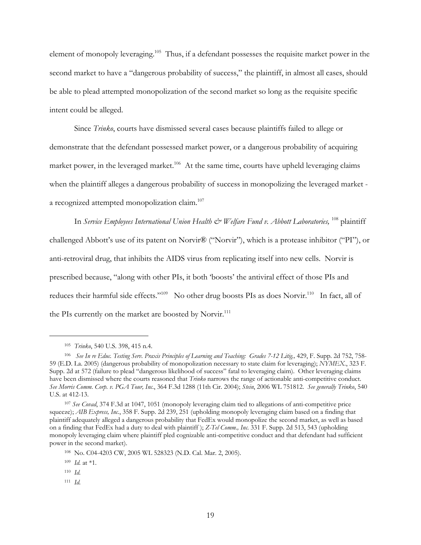element of monopoly leveraging.105 Thus, if a defendant possesses the requisite market power in the second market to have a "dangerous probability of success," the plaintiff, in almost all cases, should be able to plead attempted monopolization of the second market so long as the requisite specific intent could be alleged.

Since *Trinko*, courts have dismissed several cases because plaintiffs failed to allege or demonstrate that the defendant possessed market power, or a dangerous probability of acquiring market power, in the leveraged market.<sup>106</sup> At the same time, courts have upheld leveraging claims when the plaintiff alleges a dangerous probability of success in monopolizing the leveraged market a recognized attempted monopolization claim.<sup>107</sup>

In *Service Employees International Union Health & Welfare Fund v. Abbott Laboratories*, <sup>108</sup> plaintiff challenged Abbott's use of its patent on Norvir® ("Norvir"), which is a protease inhibitor ("PI"), or anti-retroviral drug, that inhibits the AIDS virus from replicating itself into new cells. Norvir is prescribed because, "along with other PIs, it both 'boosts' the antiviral effect of those PIs and reduces their harmful side effects."<sup>109</sup> No other drug boosts PIs as does Norvir.<sup>110</sup> In fact, all of the PIs currently on the market are boosted by Norvir.<sup>111</sup>

<sup>105</sup> *Trinko*, 540 U.S. 398, 415 n.4.

<sup>&</sup>lt;sup>106</sup> See In re Educ. Testing Serv. Praxis Principles of Learning and Teaching: Grades 7-12 Litig., 429, F. Supp. 2d 752, 758-59 (E.D. La. 2005) (dangerous probability of monopolization necessary to state claim for leveraging); *NYMEX.*, 323 F. Supp. 2d at 572 (failure to plead "dangerous likelihood of success" fatal to leveraging claim). Other leveraging claims have been dismissed where the courts reasoned that *Trinko* narrows the range of actionable anti-competitive conduct. *See Morris Comm. Corp. v. PGA Tour, Inc.*, 364 F.3d 1288 (11th Cir. 2004); *Stein*, 2006 WL 751812. *See generally Trinko*, 540 U.S. at 412-13.

<sup>107</sup> *See Covad*, 374 F.3d at 1047, 1051 (monopoly leveraging claim tied to allegations of anti-competitive price squeeze); *AIB Express, Inc.*, 358 F. Supp. 2d 239, 251 (upholding monopoly leveraging claim based on a finding that plaintiff adequately alleged a dangerous probability that FedEx would monopolize the second market, as well as based on a finding that FedEx had a duty to deal with plaintiff ); *Z-Tel Comm., Inc.* 331 F. Supp. 2d 513, 543 (upholding monopoly leveraging claim where plaintiff pled cognizable anti-competitive conduct and that defendant had sufficient power in the second market).

<sup>108</sup>No. C04-4203 CW, 2005 WL 528323 (N.D. Cal. Mar. 2, 2005).

<sup>109</sup> *Id.* at \*1.

<sup>110</sup> *Id.*

<sup>111</sup> *Id.*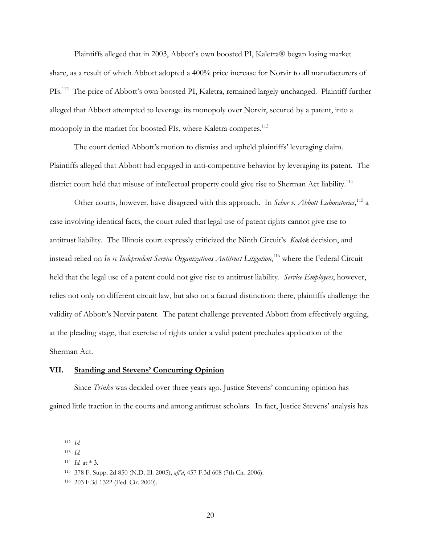Plaintiffs alleged that in 2003, Abbott's own boosted PI, Kaletra® began losing market share, as a result of which Abbott adopted a 400% price increase for Norvir to all manufacturers of PIs.<sup>112</sup> The price of Abbott's own boosted PI, Kaletra, remained largely unchanged. Plaintiff further alleged that Abbott attempted to leverage its monopoly over Norvir, secured by a patent, into a monopoly in the market for boosted PIs, where Kaletra competes.<sup>113</sup>

The court denied Abbott's motion to dismiss and upheld plaintiffs' leveraging claim. Plaintiffs alleged that Abbott had engaged in anti-competitive behavior by leveraging its patent. The district court held that misuse of intellectual property could give rise to Sherman Act liability.<sup>114</sup>

Other courts, however, have disagreed with this approach. In *Schor v. Abbott Laboratories*,<sup>115</sup> a case involving identical facts, the court ruled that legal use of patent rights cannot give rise to antitrust liability. The Illinois court expressly criticized the Ninth Circuit's *Kodak* decision, and instead relied on *In re Independent Service Organizations Antitrust Litigation*, 116 where the Federal Circuit held that the legal use of a patent could not give rise to antitrust liability. *Service Employees*, however, relies not only on different circuit law, but also on a factual distinction: there, plaintiffs challenge the validity of Abbott's Norvir patent. The patent challenge prevented Abbott from effectively arguing, at the pleading stage, that exercise of rights under a valid patent precludes application of the Sherman Act.

# **VII. Standing and Stevens' Concurring Opinion**

Since *Trinko* was decided over three years ago, Justice Stevens' concurring opinion has gained little traction in the courts and among antitrust scholars. In fact, Justice Stevens' analysis has

<sup>112</sup> *Id.*

<sup>113</sup> *Id.*

<sup>114</sup> *Id.* at \* 3.

<sup>115 378</sup> F. Supp. 2d 850 (N.D. Ill. 2005), *aff'd*, 457 F.3d 608 (7th Cir. 2006).

<sup>116 203</sup> F.3d 1322 (Fed. Cir. 2000).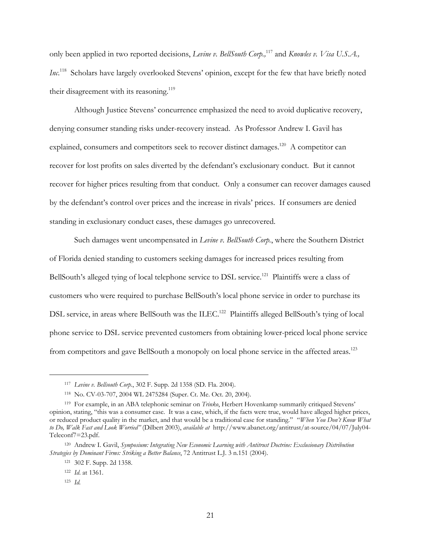only been applied in two reported decisions, *Levine v. BellSouth Corp.*,<sup>117</sup> and *Knowles v. Visa U.S.A.*, Inc.<sup>118</sup> Scholars have largely overlooked Stevens' opinion, except for the few that have briefly noted their disagreement with its reasoning.<sup>119</sup>

Although Justice Stevens' concurrence emphasized the need to avoid duplicative recovery, denying consumer standing risks under-recovery instead. As Professor Andrew I. Gavil has explained, consumers and competitors seek to recover distinct damages.<sup>120</sup> A competitor can recover for lost profits on sales diverted by the defendant's exclusionary conduct. But it cannot recover for higher prices resulting from that conduct. Only a consumer can recover damages caused by the defendant's control over prices and the increase in rivals' prices. If consumers are denied standing in exclusionary conduct cases, these damages go unrecovered.

Such damages went uncompensated in *Levine v. BellSouth Corp.*, where the Southern District of Florida denied standing to customers seeking damages for increased prices resulting from BellSouth's alleged tying of local telephone service to DSL service.<sup>121</sup> Plaintiffs were a class of customers who were required to purchase BellSouth's local phone service in order to purchase its DSL service, in areas where BellSouth was the ILEC.<sup>122</sup> Plaintiffs alleged BellSouth's tying of local phone service to DSL service prevented customers from obtaining lower-priced local phone service from competitors and gave BellSouth a monopoly on local phone service in the affected areas.<sup>123</sup>

<sup>117</sup> *Levine v. Bellsouth Corp.*, 302 F. Supp. 2d 1358 (SD. Fla. 2004).

<sup>118</sup> No. CV-03-707, 2004 WL 2475284 (Super. Ct. Me. Oct. 20, 2004).

<sup>119</sup> For example, in an ABA telephonic seminar on *Trinko*, Herbert Hovenkamp summarily critiqued Stevens' opinion, stating, "this was a consumer case. It was a case, which, if the facts were true, would have alleged higher prices, or reduced product quality in the market, and that would be a traditional case for standing." "*When You Don't Know What to Do, Walk Fast and Look Worried"* (Dilbert 2003), *available at* http://www.abanet.org/antitrust/at-source/04/07/July04- Teleconf7=23.pdf.

<sup>120</sup> Andrew I. Gavil, *Symposium: Integrating New Economic Learning with Antitrust Doctrine: Exclusionary Distribution Strategies by Dominant Firms: Striking a Better Balance*, 72 Antitrust L.J. 3 n.151 (2004).

<sup>121 302</sup> F. Supp. 2d 1358.

<sup>122</sup> *Id*. at 1361.

<sup>123</sup> *Id.*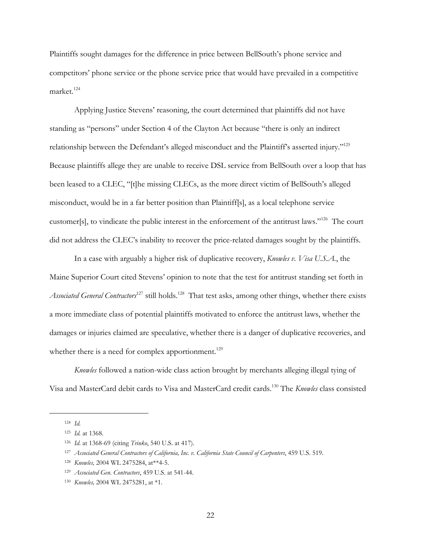Plaintiffs sought damages for the difference in price between BellSouth's phone service and competitors' phone service or the phone service price that would have prevailed in a competitive market.<sup>124</sup>

Applying Justice Stevens' reasoning, the court determined that plaintiffs did not have standing as "persons" under Section 4 of the Clayton Act because "there is only an indirect relationship between the Defendant's alleged misconduct and the Plaintiff's asserted injury."<sup>125</sup> Because plaintiffs allege they are unable to receive DSL service from BellSouth over a loop that has been leased to a CLEC, "[t]he missing CLECs, as the more direct victim of BellSouth's alleged misconduct, would be in a far better position than Plaintiff[s], as a local telephone service customer[s], to vindicate the public interest in the enforcement of the antitrust laws."126 The court did not address the CLEC's inability to recover the price-related damages sought by the plaintiffs.

In a case with arguably a higher risk of duplicative recovery, *Knowles v. Visa U.S.A.*, the Maine Superior Court cited Stevens' opinion to note that the test for antitrust standing set forth in Associated General Contractors<sup>127</sup> still holds.<sup>128</sup> That test asks, among other things, whether there exists a more immediate class of potential plaintiffs motivated to enforce the antitrust laws, whether the damages or injuries claimed are speculative, whether there is a danger of duplicative recoveries, and whether there is a need for complex apportionment.<sup>129</sup>

*Knowles* followed a nation-wide class action brought by merchants alleging illegal tying of Visa and MasterCard debit cards to Visa and MasterCard credit cards.130 The *Knowles* class consisted

<sup>124</sup> *Id.*

<sup>125</sup> *Id.* at 1368.

<sup>126</sup> *Id*. at 1368-69 (citing *Trinko*, 540 U.S. at 417).

<sup>127</sup> *Associated General Contractors of California, Inc. v. California State Council of Carpenters*, 459 U.S. 519.

<sup>128</sup> *Knowles,* 2004 WL 2475284, at\*\*4-5.

<sup>129</sup> *Associated Gen. Contractors*, 459 U.S. at 541-44.

<sup>130</sup> *Knowles,* 2004 WL 2475281, at \*1.